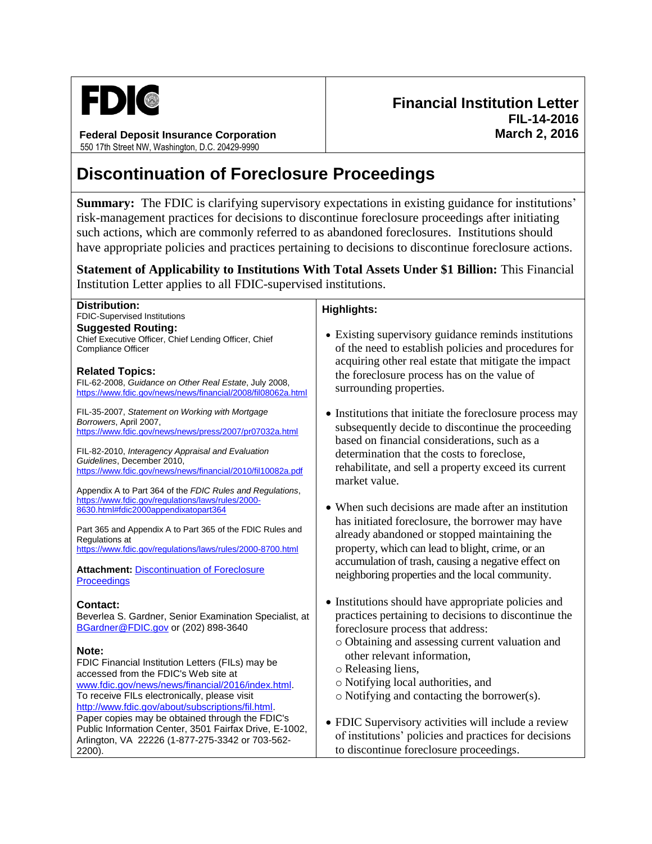

**Federal Deposit Insurance Corporation** 550 17th Street NW, Washington, D.C. 20429-9990

## **Discontinuation of Foreclosure Proceedings**

**Summary:** The FDIC is clarifying supervisory expectations in existing guidance for institutions' risk-management practices for decisions to discontinue foreclosure proceedings after initiating such actions, which are commonly referred to as abandoned foreclosures. Institutions should have appropriate policies and practices pertaining to decisions to discontinue foreclosure actions.

**Statement of Applicability to Institutions With Total Assets Under \$1 Billion:** This Financial Institution Letter applies to all FDIC-supervised institutions.

## **Distribution:** FDIC-Supervised Institutions **Highlights:** Existing supervisory guidance reminds institutions of the need to establish policies and procedures for acquiring other real estate that mitigate the impact the foreclosure process has on the value of surrounding properties. • Institutions that initiate the foreclosure process may subsequently decide to discontinue the proceeding based on financial considerations, such as a determination that the costs to foreclose, rehabilitate, and sell a property exceed its current market value. • When such decisions are made after an institution has initiated foreclosure, the borrower may have already abandoned or stopped maintaining the property, which can lead to blight, crime, or an accumulation of trash, causing a negative effect on neighboring properties and the local community. • Institutions should have appropriate policies and practices pertaining to decisions to discontinue the foreclosure process that address: o Obtaining and assessing current valuation and other relevant information, o Releasing liens, o Notifying local authorities, and o Notifying and contacting the borrower(s). FDIC Supervisory activities will include a review of institutions' policies and practices for decisions to discontinue foreclosure proceedings. **Suggested Routing:** Chief Executive Officer, Chief Lending Officer, Chief Compliance Officer **Related Topics:** FIL-62-2008, *Guidance on Other Real Estate*, July 2008, <https://www.fdic.gov/news/news/financial/2008/fil08062a.html> FIL-35-2007, *Statement on Working with Mortgage Borrowers*, April 2007, <https://www.fdic.gov/news/news/press/2007/pr07032a.html> FIL-82-2010, *Interagency Appraisal and Evaluation Guidelines*, December 2010, <https://www.fdic.gov/news/news/financial/2010/fil10082a.pdf> Appendix A to Part 364 of the *FDIC Rules and Regulations*, [https://www.fdic.gov/regulations/laws/rules/2000-](https://www.fdic.gov/regulations/laws/rules/2000-8630.html#fdic2000appendixatopart364) [8630.html#fdic2000appendixatopart364](https://www.fdic.gov/regulations/laws/rules/2000-8630.html#fdic2000appendixatopart364)  Part 365 and Appendix A to Part 365 of the FDIC Rules and Regulations at <https://www.fdic.gov/regulations/laws/rules/2000-8700.html> **Attachment:** [Discontinuation of Foreclosure](https://www.fdic.gov/news/news/financial/2016/fil16014a.pdf)  **[Proceedings](https://www.fdic.gov/news/news/financial/2016/fil16014a.pdf) Contact:**  Beverlea S. Gardner, Senior Examination Specialist, at [BGardner@FDIC.gov](mailto:BGardner@FDIC.gov) or (202) 898-3640 **Note:** FDIC Financial Institution Letters (FILs) may be accessed from the FDIC's Web site at [www.fdic.gov/news/news/financial/2016/index.html.](http://www.fdic.gov/news/news/financial/2016/index.html) To receive FILs electronically, please visit [http://www.fdic.gov/about/subscriptions/fil.html.](http://www.fdic.gov/about/subscriptions/fil.html) Paper copies may be obtained through the FDIC's Public Information Center, 3501 Fairfax Drive, E-1002, Arlington, VA 22226 (1-877-275-3342 or 703-562- 2200).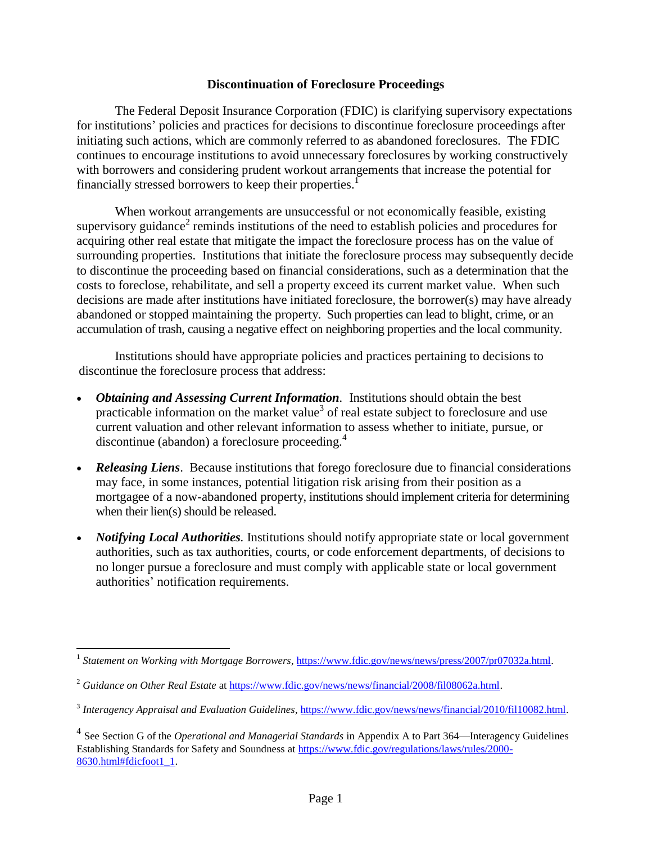## **Discontinuation of Foreclosure Proceedings**

The Federal Deposit Insurance Corporation (FDIC) is clarifying supervisory expectations for institutions' policies and practices for decisions to discontinue foreclosure proceedings after initiating such actions, which are commonly referred to as abandoned foreclosures. The FDIC continues to encourage institutions to avoid unnecessary foreclosures by working constructively with borrowers and considering prudent workout arrangements that increase the potential for financially stressed borrowers to keep their properties.<sup>1</sup>

When workout arrangements are unsuccessful or not economically feasible, existing supervisory guidance<sup>2</sup> reminds institutions of the need to establish policies and procedures for acquiring other real estate that mitigate the impact the foreclosure process has on the value of surrounding properties. Institutions that initiate the foreclosure process may subsequently decide to discontinue the proceeding based on financial considerations, such as a determination that the costs to foreclose, rehabilitate, and sell a property exceed its current market value. When such decisions are made after institutions have initiated foreclosure, the borrower(s) may have already abandoned or stopped maintaining the property. Such properties can lead to blight, crime, or an accumulation of trash, causing a negative effect on neighboring properties and the local community.

Institutions should have appropriate policies and practices pertaining to decisions to discontinue the foreclosure process that address:

- *Obtaining and Assessing Current Information.* Institutions should obtain the best practicable information on the market value<sup>3</sup> of real estate subject to foreclosure and use current valuation and other relevant information to assess whether to initiate, pursue, or discontinue (abandon) a foreclosure proceeding.<sup>4</sup>
- *Releasing Liens*. Because institutions that forego foreclosure due to financial considerations may face, in some instances, potential litigation risk arising from their position as a mortgagee of a now-abandoned property, institutions should implement criteria for determining when their lien(s) should be released.
- *Notifying Local Authorities.* Institutions should notify appropriate state or local government authorities, such as tax authorities, courts, or code enforcement departments, of decisions to no longer pursue a foreclosure and must comply with applicable state or local government authorities' notification requirements.

<sup>&</sup>lt;sup>1</sup> Statement on Working with Mortgage Borrowers[, https://www.fdic.gov/news/news/press/2007/pr07032a.html.](https://www.fdic.gov/news/news/press/2007/pr07032a.html)

<sup>&</sup>lt;sup>2</sup> Guidance on Other Real Estate a[t https://www.fdic.gov/news/news/financial/2008/fil08062a.html.](https://www.fdic.gov/news/news/financial/2008/fil08062a.html)

<sup>&</sup>lt;sup>3</sup> Interagency Appraisal and Evaluation Guidelines, [https://www.fdic.gov/news/news/financial/2010/fil10082.html.](https://www.fdic.gov/news/news/financial/2010/fil10082.html)

<sup>4</sup> See Section G of the *Operational and Managerial Standards* in Appendix A to Part 364—Interagency Guidelines Establishing Standards for Safety and Soundness at [https://www.fdic.gov/regulations/laws/rules/2000-](https://www.fdic.gov/regulations/laws/rules/2000-8630.html#fdicfoot1_1) [8630.html#fdicfoot1\\_1.](https://www.fdic.gov/regulations/laws/rules/2000-8630.html#fdicfoot1_1)